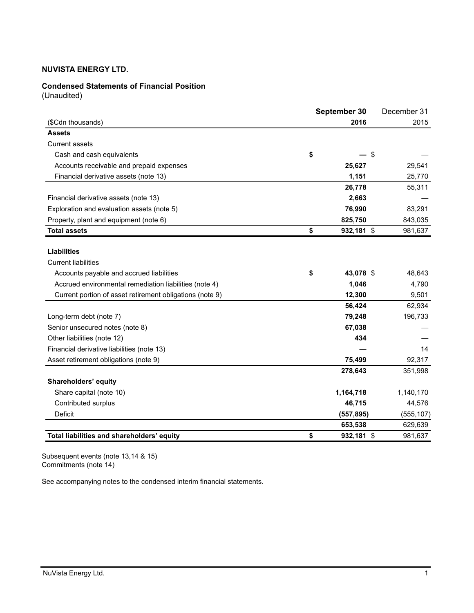## **Condensed Statements of Financial Position**

(Unaudited)

|                                                          | September 30 |            | December 31 |  |
|----------------------------------------------------------|--------------|------------|-------------|--|
| (\$Cdn thousands)                                        |              | 2016       | 2015        |  |
| <b>Assets</b>                                            |              |            |             |  |
| <b>Current assets</b>                                    |              |            |             |  |
| Cash and cash equivalents                                | \$           | \$         |             |  |
| Accounts receivable and prepaid expenses                 |              | 25,627     | 29,541      |  |
| Financial derivative assets (note 13)                    |              | 1,151      | 25,770      |  |
|                                                          |              | 26,778     | 55,311      |  |
| Financial derivative assets (note 13)                    |              | 2,663      |             |  |
| Exploration and evaluation assets (note 5)               |              | 76,990     | 83,291      |  |
| Property, plant and equipment (note 6)                   |              | 825,750    | 843,035     |  |
| <b>Total assets</b>                                      | \$           | 932,181 \$ | 981,637     |  |
|                                                          |              |            |             |  |
| <b>Liabilities</b>                                       |              |            |             |  |
| <b>Current liabilities</b>                               |              |            |             |  |
| Accounts payable and accrued liabilities                 | \$           | 43,078 \$  | 48,643      |  |
| Accrued environmental remediation liabilities (note 4)   |              | 1,046      | 4,790       |  |
| Current portion of asset retirement obligations (note 9) |              | 12,300     | 9,501       |  |
|                                                          |              | 56,424     | 62,934      |  |
| Long-term debt (note 7)                                  |              | 79,248     | 196,733     |  |
| Senior unsecured notes (note 8)                          |              | 67,038     |             |  |
| Other liabilities (note 12)                              |              | 434        |             |  |
| Financial derivative liabilities (note 13)               |              |            | 14          |  |
| Asset retirement obligations (note 9)                    |              | 75,499     | 92,317      |  |
|                                                          |              | 278,643    | 351,998     |  |
| Shareholders' equity                                     |              |            |             |  |
| Share capital (note 10)                                  |              | 1,164,718  | 1,140,170   |  |
| Contributed surplus                                      |              | 46,715     | 44,576      |  |
| <b>Deficit</b>                                           |              | (557, 895) | (555, 107)  |  |
|                                                          |              | 653,538    | 629,639     |  |
| Total liabilities and shareholders' equity               | \$           | 932,181 \$ | 981,637     |  |

Subsequent events (note 13,14 & 15) Commitments (note 14)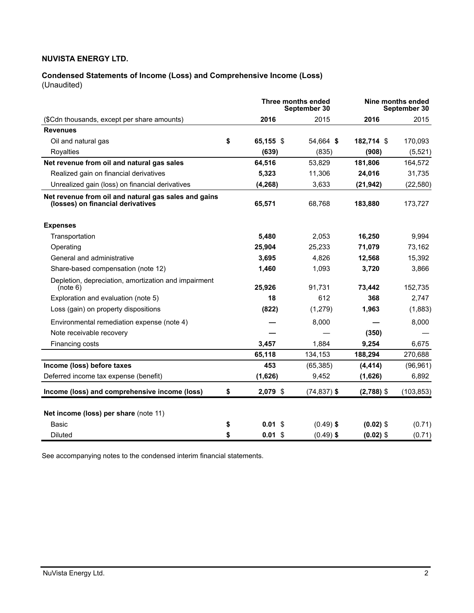## **Condensed Statements of Income (Loss) and Comprehensive Income (Loss)** (Unaudited)

| Three months ended<br>September 30                                                        |    |           |                | Nine months ended<br>September 30 |            |
|-------------------------------------------------------------------------------------------|----|-----------|----------------|-----------------------------------|------------|
| (\$Cdn thousands, except per share amounts)                                               |    | 2016      | 2015           | 2016                              | 2015       |
| <b>Revenues</b>                                                                           |    |           |                |                                   |            |
| Oil and natural gas                                                                       | \$ | 65,155 \$ | 54,664 \$      | 182,714 \$                        | 170,093    |
| Royalties                                                                                 |    | (639)     | (835)          | (908)                             | (5,521)    |
| Net revenue from oil and natural gas sales                                                |    | 64,516    | 53,829         | 181,806                           | 164,572    |
| Realized gain on financial derivatives                                                    |    | 5,323     | 11,306         | 24,016                            | 31,735     |
| Unrealized gain (loss) on financial derivatives                                           |    | (4,268)   | 3,633          | (21, 942)                         | (22, 580)  |
| Net revenue from oil and natural gas sales and gains<br>(losses) on financial derivatives |    | 65,571    | 68,768         | 183,880                           | 173,727    |
| <b>Expenses</b>                                                                           |    |           |                |                                   |            |
| Transportation                                                                            |    | 5,480     | 2,053          | 16,250                            | 9,994      |
| Operating                                                                                 |    | 25,904    | 25,233         | 71,079                            | 73,162     |
| General and administrative                                                                |    | 3,695     | 4,826          | 12,568                            | 15,392     |
| Share-based compensation (note 12)                                                        |    | 1.460     | 1,093          | 3,720                             | 3,866      |
| Depletion, depreciation, amortization and impairment<br>(note 6)                          |    | 25,926    | 91,731         | 73,442                            | 152,735    |
| Exploration and evaluation (note 5)                                                       |    | 18        | 612            | 368                               | 2,747      |
| Loss (gain) on property dispositions                                                      |    | (822)     | (1,279)        | 1,963                             | (1,883)    |
| Environmental remediation expense (note 4)                                                |    |           | 8,000          |                                   | 8,000      |
| Note receivable recovery                                                                  |    |           |                | (350)                             |            |
| Financing costs                                                                           |    | 3,457     | 1,884          | 9,254                             | 6,675      |
|                                                                                           |    | 65,118    | 134,153        | 188,294                           | 270,688    |
| Income (loss) before taxes                                                                |    | 453       | (65, 385)      | (4, 414)                          | (96, 961)  |
| Deferred income tax expense (benefit)                                                     |    | (1,626)   | 9,452          | (1,626)                           | 6,892      |
| Income (loss) and comprehensive income (loss)                                             | \$ | 2,079 \$  | $(74, 837)$ \$ | $(2,788)$ \$                      | (103, 853) |
| Net income (loss) per share (note 11)                                                     |    |           |                |                                   |            |
| Basic                                                                                     | \$ | 0.01S     | $(0.49)$ \$    | $(0.02)$ \$                       | (0.71)     |
| <b>Diluted</b>                                                                            | \$ | $0.01$ \$ | $(0.49)$ \$    | $(0.02)$ \$                       | (0.71)     |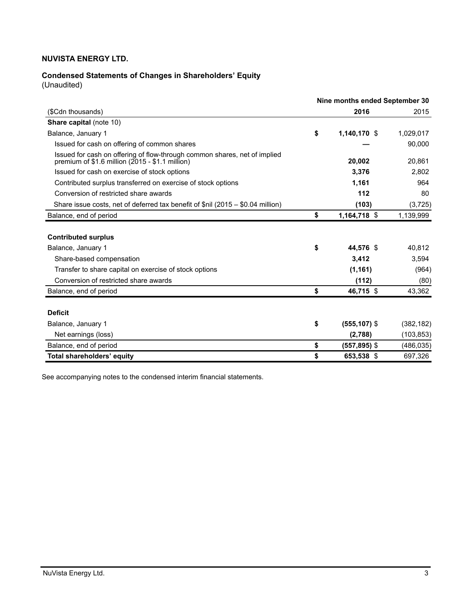# **Condensed Statements of Changes in Shareholders' Equity**

(Unaudited)

|                                                                                                                               | Nine months ended September 30 |            |  |  |
|-------------------------------------------------------------------------------------------------------------------------------|--------------------------------|------------|--|--|
| (\$Cdn thousands)                                                                                                             | 2016                           | 2015       |  |  |
| <b>Share capital (note 10)</b>                                                                                                |                                |            |  |  |
| Balance, January 1                                                                                                            | \$<br>1,140,170 \$             | 1,029,017  |  |  |
| Issued for cash on offering of common shares                                                                                  |                                | 90,000     |  |  |
| Issued for cash on offering of flow-through common shares, net of implied<br>premium of $$1.6$ million (2015 - \$1.1 million) | 20,002                         | 20,861     |  |  |
| Issued for cash on exercise of stock options                                                                                  | 3,376                          | 2,802      |  |  |
| Contributed surplus transferred on exercise of stock options                                                                  | 1,161                          | 964        |  |  |
| Conversion of restricted share awards                                                                                         | 112                            | 80         |  |  |
| Share issue costs, net of deferred tax benefit of \$nil (2015 - \$0.04 million)                                               | (103)                          | (3,725)    |  |  |
| Balance, end of period                                                                                                        | \$<br>1,164,718 \$             | 1,139,999  |  |  |
| <b>Contributed surplus</b>                                                                                                    |                                |            |  |  |
| Balance, January 1                                                                                                            | \$<br>44,576 \$                | 40,812     |  |  |
| Share-based compensation                                                                                                      | 3,412                          | 3,594      |  |  |
| Transfer to share capital on exercise of stock options                                                                        | (1, 161)                       | (964)      |  |  |
| Conversion of restricted share awards                                                                                         | (112)                          | (80)       |  |  |
| Balance, end of period                                                                                                        | \$<br>46,715 \$                | 43,362     |  |  |
|                                                                                                                               |                                |            |  |  |
| <b>Deficit</b>                                                                                                                |                                |            |  |  |
| Balance, January 1                                                                                                            | \$<br>$(555, 107)$ \$          | (382, 182) |  |  |
| Net earnings (loss)                                                                                                           | (2,788)                        | (103, 853) |  |  |
| Balance, end of period                                                                                                        | \$<br>(557,895) \$             | (486, 035) |  |  |
| <b>Total shareholders' equity</b>                                                                                             | \$<br>653,538 \$               | 697,326    |  |  |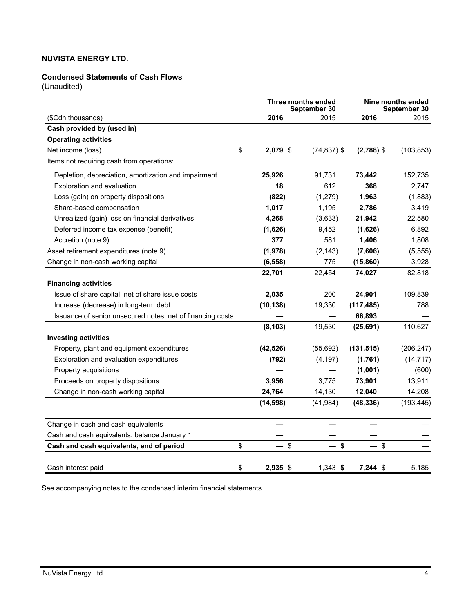## **Condensed Statements of Cash Flows**

(Unaudited)

|                                                            | Three months ended<br>September 30 |                | Nine months ended<br>September 30 |            |  |
|------------------------------------------------------------|------------------------------------|----------------|-----------------------------------|------------|--|
| (\$Cdn thousands)                                          | 2016                               | 2015           | 2016                              | 2015       |  |
| Cash provided by (used in)                                 |                                    |                |                                   |            |  |
| <b>Operating activities</b>                                |                                    |                |                                   |            |  |
| Net income (loss)<br>\$                                    | 2,079 \$                           | $(74, 837)$ \$ | $(2,788)$ \$                      | (103, 853) |  |
| Items not requiring cash from operations:                  |                                    |                |                                   |            |  |
| Depletion, depreciation, amortization and impairment       | 25,926                             | 91,731         | 73,442                            | 152,735    |  |
| Exploration and evaluation                                 | 18                                 | 612            | 368                               | 2,747      |  |
| Loss (gain) on property dispositions                       | (822)                              | (1,279)        | 1,963                             | (1,883)    |  |
| Share-based compensation                                   | 1,017                              | 1,195          | 2,786                             | 3,419      |  |
| Unrealized (gain) loss on financial derivatives            | 4,268                              | (3,633)        | 21,942                            | 22,580     |  |
| Deferred income tax expense (benefit)                      | (1,626)                            | 9,452          | (1,626)                           | 6,892      |  |
| Accretion (note 9)                                         | 377                                | 581            | 1,406                             | 1,808      |  |
| Asset retirement expenditures (note 9)                     | (1,978)                            | (2, 143)       | (7,606)                           | (5, 555)   |  |
| Change in non-cash working capital                         | (6, 558)                           | 775            | (15, 860)                         | 3,928      |  |
|                                                            | 22,701                             | 22,454         | 74,027                            | 82,818     |  |
| <b>Financing activities</b>                                |                                    |                |                                   |            |  |
| Issue of share capital, net of share issue costs           | 2,035                              | 200            | 24,901                            | 109,839    |  |
| Increase (decrease) in long-term debt                      | (10, 138)                          | 19,330         | (117, 485)                        | 788        |  |
| Issuance of senior unsecured notes, net of financing costs |                                    |                | 66,893                            |            |  |
|                                                            | (8, 103)                           | 19,530         | (25, 691)                         | 110,627    |  |
| <b>Investing activities</b>                                |                                    |                |                                   |            |  |
| Property, plant and equipment expenditures                 | (42, 526)                          | (55,692)       | (131, 515)                        | (206, 247) |  |
| Exploration and evaluation expenditures                    | (792)                              | (4, 197)       | (1,761)                           | (14, 717)  |  |
| Property acquisitions                                      |                                    |                | (1,001)                           | (600)      |  |
| Proceeds on property dispositions                          | 3,956                              | 3,775          | 73,901                            | 13,911     |  |
| Change in non-cash working capital                         | 24,764                             | 14,130         | 12,040                            | 14,208     |  |
|                                                            | (14, 598)                          | (41, 984)      | (48, 336)                         | (193, 445) |  |
| Change in cash and cash equivalents                        |                                    |                |                                   |            |  |
| Cash and cash equivalents, balance January 1               |                                    |                |                                   |            |  |
| \$<br>Cash and cash equivalents, end of period             | $-$ \$                             | - \$           | $-$ \$                            |            |  |
| \$<br>Cash interest paid                                   | 2,935 \$                           | $1,343$ \$     | $7.244$ \$                        | 5,185      |  |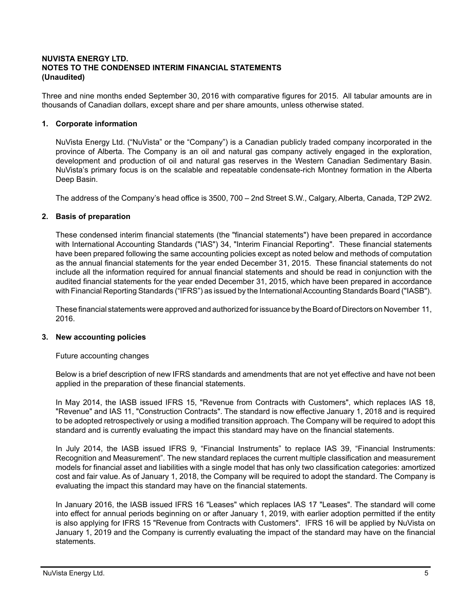## **NUVISTA ENERGY LTD. NOTES TO THE CONDENSED INTERIM FINANCIAL STATEMENTS (Unaudited)**

Three and nine months ended September 30, 2016 with comparative figures for 2015. All tabular amounts are in thousands of Canadian dollars, except share and per share amounts, unless otherwise stated.

## **1. Corporate information**

NuVista Energy Ltd. ("NuVista" or the "Company") is a Canadian publicly traded company incorporated in the province of Alberta. The Company is an oil and natural gas company actively engaged in the exploration, development and production of oil and natural gas reserves in the Western Canadian Sedimentary Basin. NuVista's primary focus is on the scalable and repeatable condensate-rich Montney formation in the Alberta Deep Basin.

The address of the Company's head office is 3500, 700 – 2nd Street S.W., Calgary, Alberta, Canada, T2P 2W2.

### **2. Basis of preparation**

These condensed interim financial statements (the "financial statements") have been prepared in accordance with International Accounting Standards ("IAS") 34, "Interim Financial Reporting". These financial statements have been prepared following the same accounting policies except as noted below and methods of computation as the annual financial statements for the year ended December 31, 2015. These financial statements do not include all the information required for annual financial statements and should be read in conjunction with the audited financial statements for the year ended December 31, 2015, which have been prepared in accordance with Financial Reporting Standards ("IFRS") as issued by the International Accounting Standards Board ("IASB").

These financial statements were approved and authorized for issuance by the Board of Directors on November 11, 2016.

### **3. New accounting policies**

Future accounting changes

Below is a brief description of new IFRS standards and amendments that are not yet effective and have not been applied in the preparation of these financial statements.

In May 2014, the IASB issued IFRS 15, "Revenue from Contracts with Customers", which replaces IAS 18, "Revenue" and IAS 11, "Construction Contracts". The standard is now effective January 1, 2018 and is required to be adopted retrospectively or using a modified transition approach. The Company will be required to adopt this standard and is currently evaluating the impact this standard may have on the financial statements.

In July 2014, the IASB issued IFRS 9, "Financial Instruments" to replace IAS 39, "Financial Instruments: Recognition and Measurement". The new standard replaces the current multiple classification and measurement models for financial asset and liabilities with a single model that has only two classification categories: amortized cost and fair value. As of January 1, 2018, the Company will be required to adopt the standard. The Company is evaluating the impact this standard may have on the financial statements.

In January 2016, the IASB issued IFRS 16 "Leases" which replaces IAS 17 "Leases". The standard will come into effect for annual periods beginning on or after January 1, 2019, with earlier adoption permitted if the entity is also applying for IFRS 15 "Revenue from Contracts with Customers". IFRS 16 will be applied by NuVista on January 1, 2019 and the Company is currently evaluating the impact of the standard may have on the financial statements.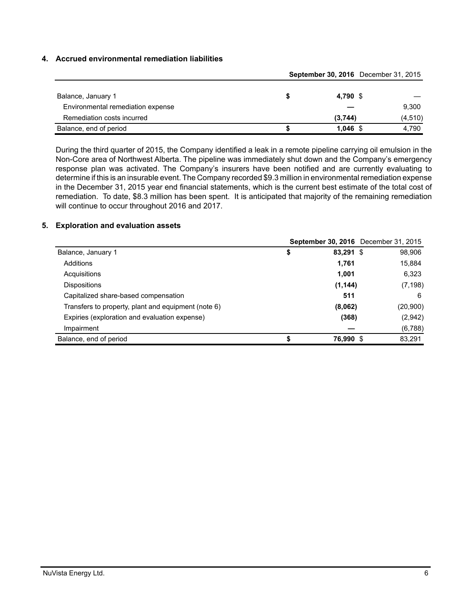## **4. Accrued environmental remediation liabilities**

|                                   |  | September 30, 2016 December 31, 2015 |         |  |
|-----------------------------------|--|--------------------------------------|---------|--|
|                                   |  |                                      |         |  |
| Balance, January 1                |  | 4,790 \$                             |         |  |
| Environmental remediation expense |  |                                      | 9,300   |  |
| Remediation costs incurred        |  | (3,744)                              | (4,510) |  |
| Balance, end of period            |  | $1,046$ \$                           | 4.790   |  |

During the third quarter of 2015, the Company identified a leak in a remote pipeline carrying oil emulsion in the Non-Core area of Northwest Alberta. The pipeline was immediately shut down and the Company's emergency response plan was activated. The Company's insurers have been notified and are currently evaluating to determine if this is an insurable event. The Company recorded \$9.3 million in environmental remediation expense in the December 31, 2015 year end financial statements, which is the current best estimate of the total cost of remediation. To date, \$8.3 million has been spent. It is anticipated that majority of the remaining remediation will continue to occur throughout 2016 and 2017.

### **5. Exploration and evaluation assets**

|                                                     |           | <b>September 30, 2016</b> December 31, 2015 |
|-----------------------------------------------------|-----------|---------------------------------------------|
| Balance, January 1                                  | 83,291 \$ | 98,906                                      |
| Additions                                           | 1,761     | 15,884                                      |
| Acquisitions                                        | 1,001     | 6,323                                       |
| <b>Dispositions</b>                                 | (1, 144)  | (7, 198)                                    |
| Capitalized share-based compensation                | 511       | 6                                           |
| Transfers to property, plant and equipment (note 6) | (8,062)   | (20,900)                                    |
| Expiries (exploration and evaluation expense)       | (368)     | (2,942)                                     |
| Impairment                                          |           | (6,788)                                     |
| Balance, end of period                              | 76,990 \$ | 83,291                                      |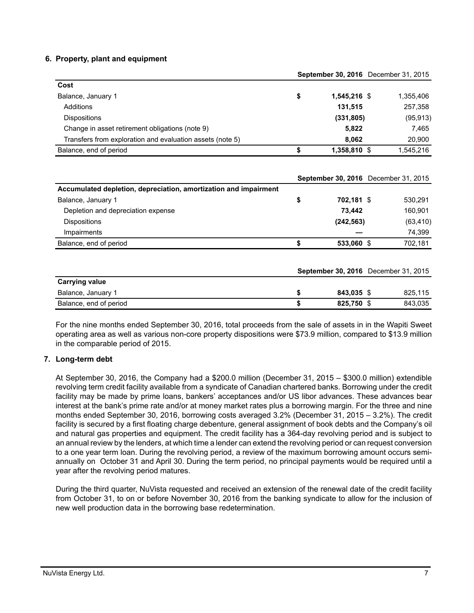### **6. Property, plant and equipment**

|                                                           |                      | <b>September 30, 2016</b> December 31, 2015 |
|-----------------------------------------------------------|----------------------|---------------------------------------------|
| Cost                                                      |                      |                                             |
| Balance, January 1                                        | \$<br>$1.545.216$ \$ | 1,355,406                                   |
| Additions                                                 | 131,515              | 257,358                                     |
| <b>Dispositions</b>                                       | (331, 805)           | (95, 913)                                   |
| Change in asset retirement obligations (note 9)           | 5,822                | 7.465                                       |
| Transfers from exploration and evaluation assets (note 5) | 8.062                | 20,900                                      |
| Balance, end of period                                    | 1,358,810 \$         | 1,545,216                                   |

|                                                                  |                  | September 30, 2016 December 31, 2015 |
|------------------------------------------------------------------|------------------|--------------------------------------|
| Accumulated depletion, depreciation, amortization and impairment |                  |                                      |
| Balance, January 1                                               | \$<br>702,181 \$ | 530,291                              |
| Depletion and depreciation expense                               | 73.442           | 160.901                              |
| <b>Dispositions</b>                                              | (242, 563)       | (63, 410)                            |
| Impairments                                                      |                  | 74,399                               |
| Balance, end of period                                           | \$<br>533,060 \$ | 702,181                              |
|                                                                  |                  | September 30, 2016 December 31, 2015 |
| <b>Carrying value</b>                                            |                  |                                      |
| Balance, January 1                                               | \$<br>843.035 \$ | 825.115                              |

For the nine months ended September 30, 2016, total proceeds from the sale of assets in in the Wapiti Sweet operating area as well as various non-core property dispositions were \$73.9 million, compared to \$13.9 million in the comparable period of 2015.

Balance, end of period **\$ 825,750** \$ 843,035

## **7. Long-term debt**

At September 30, 2016, the Company had a \$200.0 million (December 31, 2015 – \$300.0 million) extendible revolving term credit facility available from a syndicate of Canadian chartered banks. Borrowing under the credit facility may be made by prime loans, bankers' acceptances and/or US libor advances. These advances bear interest at the bank's prime rate and/or at money market rates plus a borrowing margin. For the three and nine months ended September 30, 2016, borrowing costs averaged 3.2% (December 31, 2015 – 3.2%). The credit facility is secured by a first floating charge debenture, general assignment of book debts and the Company's oil and natural gas properties and equipment. The credit facility has a 364-day revolving period and is subject to an annual review by the lenders, at which time a lender can extend the revolving period or can request conversion to a one year term loan. During the revolving period, a review of the maximum borrowing amount occurs semiannually on October 31 and April 30. During the term period, no principal payments would be required until a year after the revolving period matures.

During the third quarter, NuVista requested and received an extension of the renewal date of the credit facility from October 31, to on or before November 30, 2016 from the banking syndicate to allow for the inclusion of new well production data in the borrowing base redetermination.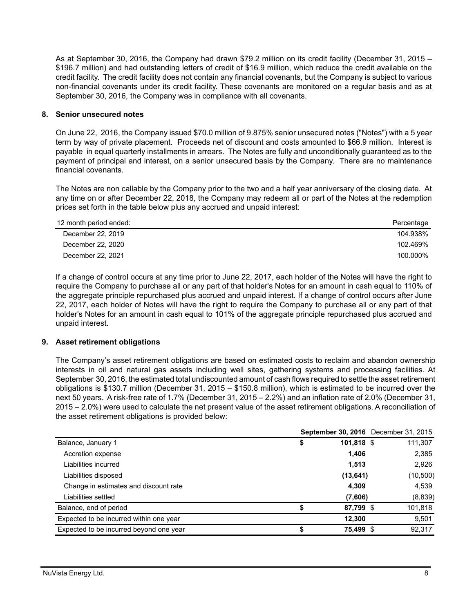As at September 30, 2016, the Company had drawn \$79.2 million on its credit facility (December 31, 2015 – \$196.7 million) and had outstanding letters of credit of \$16.9 million, which reduce the credit available on the credit facility. The credit facility does not contain any financial covenants, but the Company is subject to various non-financial covenants under its credit facility. These covenants are monitored on a regular basis and as at September 30, 2016, the Company was in compliance with all covenants.

## **8. Senior unsecured notes**

On June 22, 2016, the Company issued \$70.0 million of 9.875% senior unsecured notes ("Notes") with a 5 year term by way of private placement. Proceeds net of discount and costs amounted to \$66.9 million. Interest is payable in equal quarterly installments in arrears. The Notes are fully and unconditionally guaranteed as to the payment of principal and interest, on a senior unsecured basis by the Company. There are no maintenance financial covenants.

The Notes are non callable by the Company prior to the two and a half year anniversary of the closing date. At any time on or after December 22, 2018, the Company may redeem all or part of the Notes at the redemption prices set forth in the table below plus any accrued and unpaid interest:

| 12 month period ended: | Percentage |
|------------------------|------------|
| December 22, 2019      | 104.938%   |
| December 22, 2020      | 102.469%   |
| December 22, 2021      | 100.000%   |

If a change of control occurs at any time prior to June 22, 2017, each holder of the Notes will have the right to require the Company to purchase all or any part of that holder's Notes for an amount in cash equal to 110% of the aggregate principle repurchased plus accrued and unpaid interest. If a change of control occurs after June 22, 2017, each holder of Notes will have the right to require the Company to purchase all or any part of that holder's Notes for an amount in cash equal to 101% of the aggregate principle repurchased plus accrued and unpaid interest.

## **9. Asset retirement obligations**

The Company's asset retirement obligations are based on estimated costs to reclaim and abandon ownership interests in oil and natural gas assets including well sites, gathering systems and processing facilities. At September 30, 2016, the estimated total undiscounted amount of cash flows required to settle the asset retirement obligations is \$130.7 million (December 31, 2015 – \$150.8 million), which is estimated to be incurred over the next 50 years. A risk-free rate of 1.7% (December 31, 2015 – 2.2%) and an inflation rate of 2.0% (December 31, 2015 – 2.0%) were used to calculate the net present value of the asset retirement obligations. A reconciliation of the asset retirement obligations is provided below:

|                                         |    |            | September 30, 2016 December 31, 2015 |
|-----------------------------------------|----|------------|--------------------------------------|
| Balance, January 1                      | \$ | 101,818 \$ | 111,307                              |
| Accretion expense                       |    | 1,406      | 2,385                                |
| Liabilities incurred                    |    | 1,513      | 2,926                                |
| Liabilities disposed                    |    | (13, 641)  | (10,500)                             |
| Change in estimates and discount rate   |    | 4,309      | 4,539                                |
| Liabilities settled                     |    | (7,606)    | (8,839)                              |
| Balance, end of period                  | S  | 87,799 \$  | 101,818                              |
| Expected to be incurred within one year |    | 12.300     | 9,501                                |
| Expected to be incurred beyond one year |    | 75,499 \$  | 92,317                               |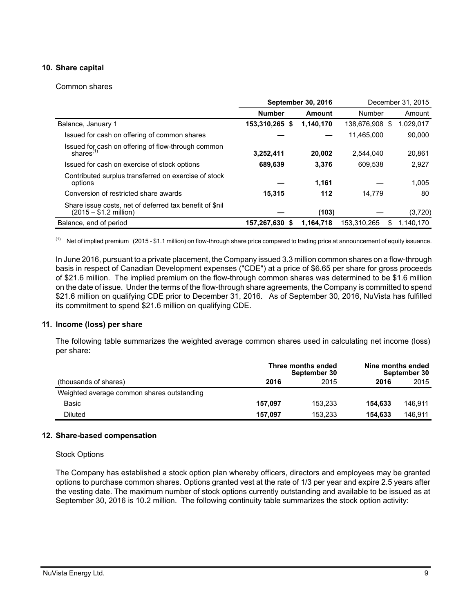## **10. Share capital**

### Common shares

|                                                                                    |                | <b>September 30, 2016</b> | December 31, 2015 |                 |  |
|------------------------------------------------------------------------------------|----------------|---------------------------|-------------------|-----------------|--|
|                                                                                    | <b>Number</b>  | Amount                    | Number            | Amount          |  |
| Balance, January 1                                                                 | 153,310,265 \$ | 1.140.170                 | 138.676.908       | 1,029,017<br>-S |  |
| Issued for cash on offering of common shares                                       |                |                           | 11.465.000        | 90.000          |  |
| Issued for cash on offering of flow-through common<br>shares $(1)$                 | 3,252,411      | 20.002                    | 2.544.040         | 20.861          |  |
| Issued for cash on exercise of stock options                                       | 689.639        | 3.376                     | 609.538           | 2.927           |  |
| Contributed surplus transferred on exercise of stock<br>options                    |                | 1.161                     |                   | 1.005           |  |
| Conversion of restricted share awards                                              | 15,315         | 112                       | 14.779            | 80              |  |
| Share issue costs, net of deferred tax benefit of \$nil<br>$(2015 - $1.2$ million) |                | (103)                     |                   | (3,720)         |  |
| Balance, end of period                                                             | 157.267.630 \$ | 1.164.718                 | 153.310.265       | 1.140.170<br>S  |  |

 $<sup>(1)</sup>$  Net of implied premium (2015 - \$1.1 million) on flow-through share price compared to trading price at announcement of equity issuance.</sup>

In June 2016, pursuant to a private placement, the Company issued 3.3 million common shares on a flow-through basis in respect of Canadian Development expenses ("CDE") at a price of \$6.65 per share for gross proceeds of \$21.6 million. The implied premium on the flow-through common shares was determined to be \$1.6 million on the date of issue. Under the terms of the flow-through share agreements, the Company is committed to spend \$21.6 million on qualifying CDE prior to December 31, 2016. As of September 30, 2016, NuVista has fulfilled its commitment to spend \$21.6 million on qualifying CDE.

### **11. Income (loss) per share**

The following table summarizes the weighted average common shares used in calculating net income (loss) per share:

|                                            |         | Three months ended<br>September 30 | Nine months ended<br>September 30 |         |  |  |
|--------------------------------------------|---------|------------------------------------|-----------------------------------|---------|--|--|
| (thousands of shares)                      | 2016    | 2015                               |                                   | 2015    |  |  |
| Weighted average common shares outstanding |         |                                    |                                   |         |  |  |
| Basic                                      | 157.097 | 153.233                            | 154.633                           | 146.911 |  |  |
| Diluted                                    | 157.097 | 153.233                            | 154.633                           | 146.911 |  |  |

### **12. Share-based compensation**

### Stock Options

The Company has established a stock option plan whereby officers, directors and employees may be granted options to purchase common shares. Options granted vest at the rate of 1/3 per year and expire 2.5 years after the vesting date. The maximum number of stock options currently outstanding and available to be issued as at September 30, 2016 is 10.2 million. The following continuity table summarizes the stock option activity: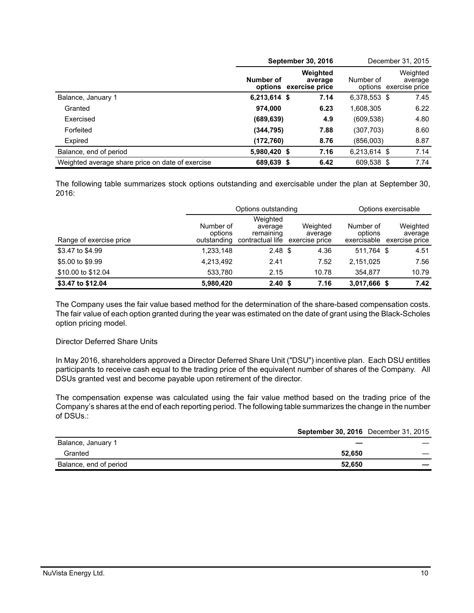|                                                  |              | <b>September 30, 2016</b>                     |              | December 31, 2015                             |
|--------------------------------------------------|--------------|-----------------------------------------------|--------------|-----------------------------------------------|
|                                                  | Number of    | Weighted<br>average<br>options exercise price | Number of    | Weighted<br>average<br>options exercise price |
| Balance, January 1                               | 6,213,614 \$ | 7.14                                          | 6,378,553 \$ | 7.45                                          |
| Granted                                          | 974,000      | 6.23                                          | 1,608,305    | 6.22                                          |
| Exercised                                        | (689, 639)   | 4.9                                           | (609,538)    | 4.80                                          |
| Forfeited                                        | (344, 795)   | 7.88                                          | (307,703)    | 8.60                                          |
| Expired                                          | (172,760)    | 8.76                                          | (856,003)    | 8.87                                          |
| Balance, end of period                           | 5,980,420 \$ | 7.16                                          | 6,213,614 \$ | 7.14                                          |
| Weighted average share price on date of exercise | 689,639 \$   | 6.42                                          | 609,538 \$   | 7.74                                          |

The following table summarizes stock options outstanding and exercisable under the plan at September 30, 2016:

|                         |                                     | Options outstanding                                  |                                       | Options exercisable                 |                                       |  |  |
|-------------------------|-------------------------------------|------------------------------------------------------|---------------------------------------|-------------------------------------|---------------------------------------|--|--|
| Range of exercise price | Number of<br>options<br>outstanding | Weighted<br>average<br>remaining<br>contractual life | Weighted<br>average<br>exercise price | Number of<br>options<br>exercisable | Weighted<br>average<br>exercise price |  |  |
| \$3.47 to \$4.99        | 1,233,148                           | $2.48 \text{ } $$                                    | 4.36                                  | 511.764 \$                          | 4.51                                  |  |  |
| \$5.00 to \$9.99        | 4,213,492                           | 2.41                                                 | 7.52                                  | 2,151,025                           | 7.56                                  |  |  |
| \$10.00 to \$12.04      | 533,780                             | 2.15                                                 | 10.78                                 | 354.877                             | 10.79                                 |  |  |
| \$3.47 to \$12.04       | 5.980.420                           | 2.40 <sup>5</sup>                                    | 7.16                                  | 3,017,666 \$                        | 7.42                                  |  |  |

The Company uses the fair value based method for the determination of the share-based compensation costs. The fair value of each option granted during the year was estimated on the date of grant using the Black-Scholes option pricing model.

### Director Deferred Share Units

In May 2016, shareholders approved a Director Deferred Share Unit ("DSU") incentive plan. Each DSU entitles participants to receive cash equal to the trading price of the equivalent number of shares of the Company. All DSUs granted vest and become payable upon retirement of the director.

The compensation expense was calculated using the fair value method based on the trading price of the Company's shares at the end of each reporting period. The following table summarizes the change in the number of DSUs.:

|                        | <b>September 30, 2016</b> December 31, 2015 |  |
|------------------------|---------------------------------------------|--|
| Balance, January 1     |                                             |  |
| Granted                | 52.650                                      |  |
| Balance, end of period | 52.650                                      |  |
|                        |                                             |  |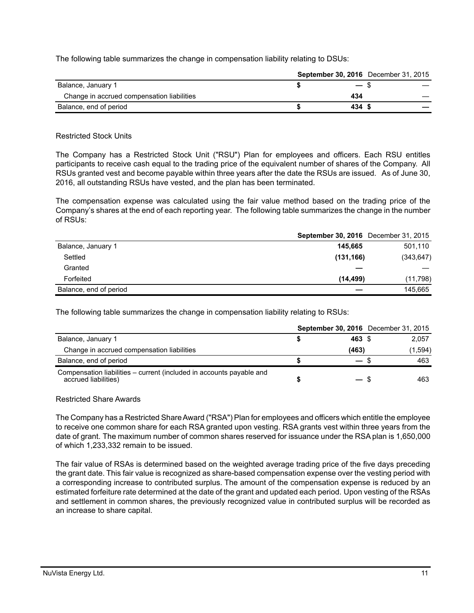The following table summarizes the change in compensation liability relating to DSUs:

|                                            |        | <b>September 30, 2016</b> December 31, 2015 |
|--------------------------------------------|--------|---------------------------------------------|
| Balance, January 1                         | $-$ \$ |                                             |
| Change in accrued compensation liabilities | 434    |                                             |
| Balance, end of period                     | 434 S  |                                             |

### Restricted Stock Units

The Company has a Restricted Stock Unit ("RSU") Plan for employees and officers. Each RSU entitles participants to receive cash equal to the trading price of the equivalent number of shares of the Company. All RSUs granted vest and become payable within three years after the date the RSUs are issued. As of June 30, 2016, all outstanding RSUs have vested, and the plan has been terminated.

The compensation expense was calculated using the fair value method based on the trading price of the Company's shares at the end of each reporting year. The following table summarizes the change in the number of RSUs:

|                        | <b>September 30, 2016</b> December 31, 2015 |            |
|------------------------|---------------------------------------------|------------|
| Balance, January 1     | 145.665                                     | 501,110    |
| Settled                | (131, 166)                                  | (343, 647) |
| Granted                |                                             |            |
| Forfeited              | (14, 499)                                   | (11,798)   |
| Balance, end of period |                                             | 145.665    |

The following table summarizes the change in compensation liability relating to RSUs:

|                                                                                              |                          | <b>September 30, 2016</b> December 31, 2015 |
|----------------------------------------------------------------------------------------------|--------------------------|---------------------------------------------|
| Balance, January 1                                                                           | 463 \$                   | 2.057                                       |
| Change in accrued compensation liabilities                                                   | (463)                    | (1,594)                                     |
| Balance, end of period                                                                       | $\overline{\phantom{0}}$ | 463                                         |
| Compensation liabilities – current (included in accounts payable and<br>accrued liabilities) |                          | 463                                         |

### Restricted Share Awards

The Company has a Restricted Share Award ("RSA") Plan for employees and officers which entitle the employee to receive one common share for each RSA granted upon vesting. RSA grants vest within three years from the date of grant. The maximum number of common shares reserved for issuance under the RSA plan is 1,650,000 of which 1,233,332 remain to be issued.

The fair value of RSAs is determined based on the weighted average trading price of the five days preceding the grant date. This fair value is recognized as share-based compensation expense over the vesting period with a corresponding increase to contributed surplus. The amount of the compensation expense is reduced by an estimated forfeiture rate determined at the date of the grant and updated each period. Upon vesting of the RSAs and settlement in common shares, the previously recognized value in contributed surplus will be recorded as an increase to share capital.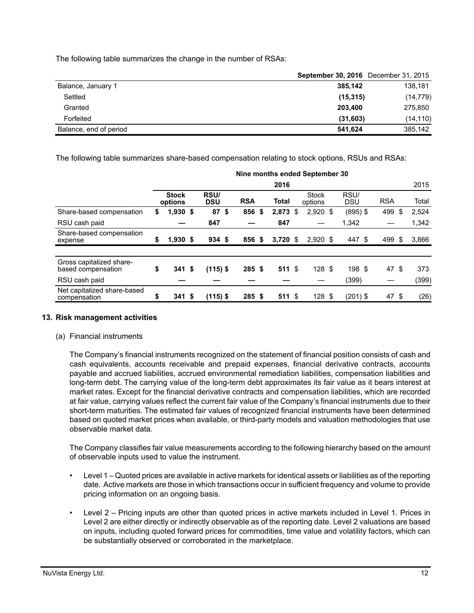The following table summarizes the change in the number of RSAs:

|                        | <b>September 30, 2016</b> December 31, 2015 |           |
|------------------------|---------------------------------------------|-----------|
| Balance, January 1     | 385.142                                     | 138,181   |
| Settled                | (15, 315)                                   | (14, 779) |
| Granted                | 203.400                                     | 275,850   |
| Forfeited              | (31,603)                                    | (14, 110) |
| Balance, end of period | 541.624                                     | 385,142   |

The following table summarizes share-based compensation relating to stock options, RSUs and RSAs:

|                                                | Nine months ended September 30 |                         |  |                    |  |            |    |              |  |                         |                    |            |      |       |
|------------------------------------------------|--------------------------------|-------------------------|--|--------------------|--|------------|----|--------------|--|-------------------------|--------------------|------------|------|-------|
|                                                |                                |                         |  |                    |  |            |    | 2016         |  |                         |                    |            |      | 2015  |
|                                                |                                | <b>Stock</b><br>options |  | RSU/<br><b>DSU</b> |  | <b>RSA</b> |    | <b>Total</b> |  | <b>Stock</b><br>options | RSU/<br><b>DSU</b> | <b>RSA</b> |      | Total |
| Share-based compensation                       | \$                             | 1,930 \$                |  | 87 <sup>°</sup>    |  | 856        | \$ | 2,873 \$     |  | $2,920$ \$              | $(895)$ \$         | 499        | \$   | 2,524 |
| RSU cash paid                                  |                                |                         |  | 847                |  |            |    | 847          |  |                         | 1.342              |            |      | 1,342 |
| Share-based compensation<br>expense            | \$                             | $1,930$ \$              |  | 934S               |  | 856 \$     |    | $3,720$ \$   |  | $2,920$ \$              | 447 \$             | 499        | - \$ | 3,866 |
|                                                |                                |                         |  |                    |  |            |    |              |  |                         |                    |            |      |       |
| Gross capitalized share-<br>based compensation | \$                             | 341S                    |  | $(115)$ \$         |  | 285S       |    | 511S         |  | 128S                    | 198 \$             | 47         | - \$ | 373   |
| RSU cash paid                                  |                                |                         |  |                    |  |            |    |              |  |                         | (399)              |            |      | (399) |
| Net capitalized share-based<br>compensation    | \$                             | $341$ \$                |  | $(115)$ \$         |  | 285S       |    | 511S         |  | 128 <sup>°</sup>        | $(201)$ \$         | 47 \$      |      | (26)  |

## **13. Risk management activities**

(a) Financial instruments

The Company's financial instruments recognized on the statement of financial position consists of cash and cash equivalents, accounts receivable and prepaid expenses, financial derivative contracts, accounts payable and accrued liabilities, accrued environmental remediation liabilities, compensation liabilities and long-term debt. The carrying value of the long-term debt approximates its fair value as it bears interest at market rates. Except for the financial derivative contracts and compensation liabilities, which are recorded at fair value, carrying values reflect the current fair value of the Company's financial instruments due to their short-term maturities. The estimated fair values of recognized financial instruments have been determined based on quoted market prices when available, or third-party models and valuation methodologies that use observable market data.

The Company classifies fair value measurements according to the following hierarchy based on the amount of observable inputs used to value the instrument.

- Level 1 Quoted prices are available in active markets for identical assets or liabilities as of the reporting date. Active markets are those in which transactions occur in sufficient frequency and volume to provide pricing information on an ongoing basis.
- Level 2 Pricing inputs are other than quoted prices in active markets included in Level 1. Prices in Level 2 are either directly or indirectly observable as of the reporting date. Level 2 valuations are based on inputs, including quoted forward prices for commodities, time value and volatility factors, which can be substantially observed or corroborated in the marketplace.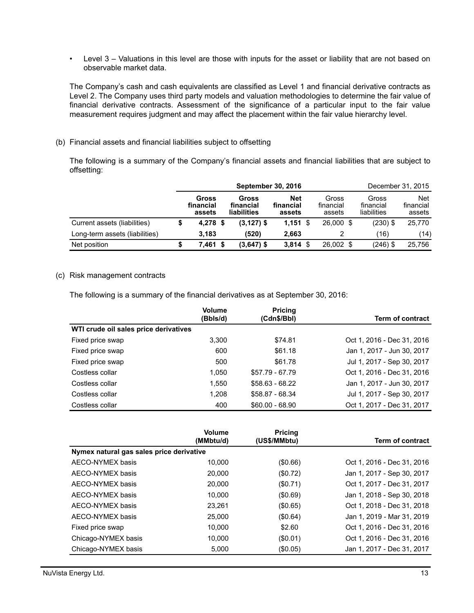• Level 3 – Valuations in this level are those with inputs for the asset or liability that are not based on observable market data.

The Company's cash and cash equivalents are classified as Level 1 and financial derivative contracts as Level 2. The Company uses third party models and valuation methodologies to determine the fair value of financial derivative contracts. Assessment of the significance of a particular input to the fair value measurement requires judgment and may affect the placement within the fair value hierarchy level.

(b) Financial assets and financial liabilities subject to offsetting

The following is a summary of the Company's financial assets and financial liabilities that are subject to offsetting:

|                                | <b>September 30, 2016</b> |                              |     |                                   |                                   |  |                              |                                   | December 31, 2015                 |
|--------------------------------|---------------------------|------------------------------|-----|-----------------------------------|-----------------------------------|--|------------------------------|-----------------------------------|-----------------------------------|
|                                |                           | Gross<br>financial<br>assets |     | Gross<br>financial<br>liabilities | <b>Net</b><br>financial<br>assets |  | Gross<br>financial<br>assets | Gross<br>financial<br>liabilities | <b>Net</b><br>financial<br>assets |
| Current assets (liabilities)   |                           | $4,278$ \$                   |     | $(3, 127)$ \$                     | $1,151$ \$                        |  | 26,000 \$                    | $(230)$ \$                        | 25,770                            |
| Long-term assets (liabilities) |                           | 3.183                        |     | (520)                             | 2,663                             |  |                              | (16)                              | (14)                              |
| Net position                   |                           | 7.461                        | - S | $(3,647)$ \$                      | 3,814                             |  | 26,002 \$                    | (246) \$                          | 25.756                            |

### (c) Risk management contracts

The following is a summary of the financial derivatives as at September 30, 2016:

|                                       | <b>Volume</b><br>(Bbls/d) | <b>Pricing</b><br>(Cdn\$/Bbl) | <b>Term of contract</b>    |
|---------------------------------------|---------------------------|-------------------------------|----------------------------|
| WTI crude oil sales price derivatives |                           |                               |                            |
| Fixed price swap                      | 3.300                     | \$74.81                       | Oct 1, 2016 - Dec 31, 2016 |
| Fixed price swap                      | 600                       | \$61.18                       | Jan 1, 2017 - Jun 30, 2017 |
| Fixed price swap                      | 500                       | \$61.78                       | Jul 1, 2017 - Sep 30, 2017 |
| Costless collar                       | 1.050                     | \$57.79 - 67.79               | Oct 1, 2016 - Dec 31, 2016 |
| Costless collar                       | 1.550                     | $$58.63 - 68.22$              | Jan 1, 2017 - Jun 30, 2017 |
| Costless collar                       | 1.208                     | $$58.87 - 68.34$              | Jul 1, 2017 - Sep 30, 2017 |
| Costless collar                       | 400                       | $$60.00 - 68.90$              | Oct 1, 2017 - Dec 31, 2017 |

|                                          | Volume<br>(MMbtu/d) | <b>Pricing</b><br>(US\$/MMbtu) | <b>Term of contract</b>    |
|------------------------------------------|---------------------|--------------------------------|----------------------------|
| Nymex natural gas sales price derivative |                     |                                |                            |
| AECO-NYMEX basis                         | 10.000              | (\$0.66)                       | Oct 1, 2016 - Dec 31, 2016 |
| AECO-NYMEX basis                         | 20,000              | (\$0.72)                       | Jan 1, 2017 - Sep 30, 2017 |
| AECO-NYMEX basis                         | 20,000              | (\$0.71)                       | Oct 1, 2017 - Dec 31, 2017 |
| AECO-NYMEX basis                         | 10.000              | (\$0.69)                       | Jan 1, 2018 - Sep 30, 2018 |
| AECO-NYMEX basis                         | 23.261              | (\$0.65)                       | Oct 1, 2018 - Dec 31, 2018 |
| AECO-NYMEX basis                         | 25,000              | (\$0.64)                       | Jan 1, 2019 - Mar 31, 2019 |
| Fixed price swap                         | 10.000              | \$2.60                         | Oct 1, 2016 - Dec 31, 2016 |
| Chicago-NYMEX basis                      | 10.000              | (\$0.01)                       | Oct 1, 2016 - Dec 31, 2016 |
| Chicago-NYMEX basis                      | 5,000               | $(\$0.05)$                     | Jan 1, 2017 - Dec 31, 2017 |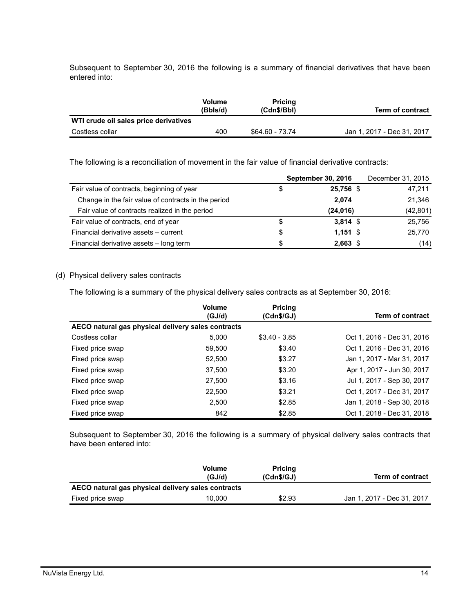Subsequent to September 30, 2016 the following is a summary of financial derivatives that have been entered into:

|                                       | Volume<br>(Bbls/d) | Pricing<br>(Cdn\$/Bbl) | <b>Term of contract</b>    |
|---------------------------------------|--------------------|------------------------|----------------------------|
| WTI crude oil sales price derivatives |                    |                        |                            |
| Costless collar                       | 400                | \$64.60 - 73.74        | Jan 1, 2017 - Dec 31, 2017 |

The following is a reconciliation of movement in the fair value of financial derivative contracts:

|                                                     | <b>September 30, 2016</b> | December 31, 2015 |
|-----------------------------------------------------|---------------------------|-------------------|
| Fair value of contracts, beginning of year          | 25,756 \$                 | 47,211            |
| Change in the fair value of contracts in the period | 2,074                     | 21,346            |
| Fair value of contracts realized in the period      | (24, 016)                 | (42, 801)         |
| Fair value of contracts, end of year                | $3,814$ \$                | 25,756            |
| Financial derivative assets - current               | $1.151$ \$                | 25,770            |
| Financial derivative assets - long term             | $2,663$ \$                | (14)              |

## (d) Physical delivery sales contracts

The following is a summary of the physical delivery sales contracts as at September 30, 2016:

|                                                    | <b>Volume</b><br>(GJ/d) | <b>Pricing</b><br>(Cdn\$/GJ) | Term of contract           |  |  |  |
|----------------------------------------------------|-------------------------|------------------------------|----------------------------|--|--|--|
| AECO natural gas physical delivery sales contracts |                         |                              |                            |  |  |  |
| Costless collar                                    | 5.000                   | $$3.40 - 3.85$               | Oct 1, 2016 - Dec 31, 2016 |  |  |  |
| Fixed price swap                                   | 59.500                  | \$3.40                       | Oct 1, 2016 - Dec 31, 2016 |  |  |  |
| Fixed price swap                                   | 52,500                  | \$3.27                       | Jan 1, 2017 - Mar 31, 2017 |  |  |  |
| Fixed price swap                                   | 37,500                  | \$3.20                       | Apr 1, 2017 - Jun 30, 2017 |  |  |  |
| Fixed price swap                                   | 27,500                  | \$3.16                       | Jul 1, 2017 - Sep 30, 2017 |  |  |  |
| Fixed price swap                                   | 22,500                  | \$3.21                       | Oct 1, 2017 - Dec 31, 2017 |  |  |  |
| Fixed price swap                                   | 2,500                   | \$2.85                       | Jan 1, 2018 - Sep 30, 2018 |  |  |  |
| Fixed price swap                                   | 842                     | \$2.85                       | Oct 1, 2018 - Dec 31, 2018 |  |  |  |

Subsequent to September 30, 2016 the following is a summary of physical delivery sales contracts that have been entered into:

|                                                    | <b>Volume</b><br>(GJ/d) | <b>Pricing</b><br>(Cdn\$/GJ) | <b>Term of contract</b>    |  |  |  |
|----------------------------------------------------|-------------------------|------------------------------|----------------------------|--|--|--|
| AECO natural gas physical delivery sales contracts |                         |                              |                            |  |  |  |
| Fixed price swap                                   | 10.000                  | \$2.93                       | Jan 1, 2017 - Dec 31, 2017 |  |  |  |